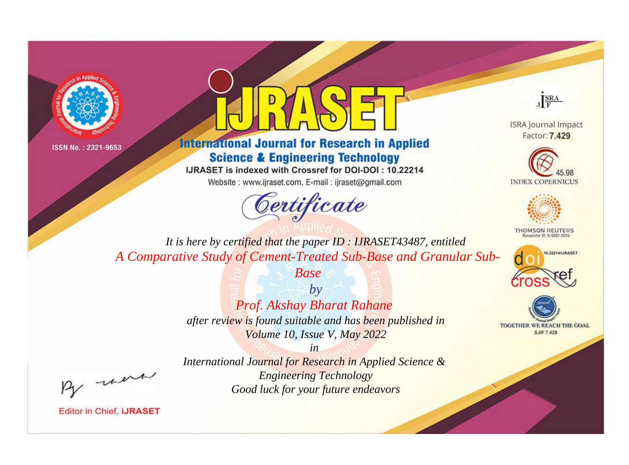



**International Journal for Research in Applied Science & Engineering Technology** 

IJRASET is indexed with Crossref for DOI-DOI: 10.22214

Website: www.ijraset.com, E-mail: ijraset@gmail.com





**ISRA Journal Impact** Factor: 7.429





**THOMSON REUTERS** 



TOGETHER WE REACH THE GOAL **SJIF 7.429** 

*It is here by certified that the paper ID : IJRASET43487, entitled A Comparative Study of Cement-Treated Sub-Base and Granular Sub-*

*Base*

*by Prof. Akshay Bharat Rahane after review is found suitable and has been published in Volume 10, Issue V, May 2022*

, un

*International Journal for Research in Applied Science & Engineering Technology Good luck for your future endeavors*

*in*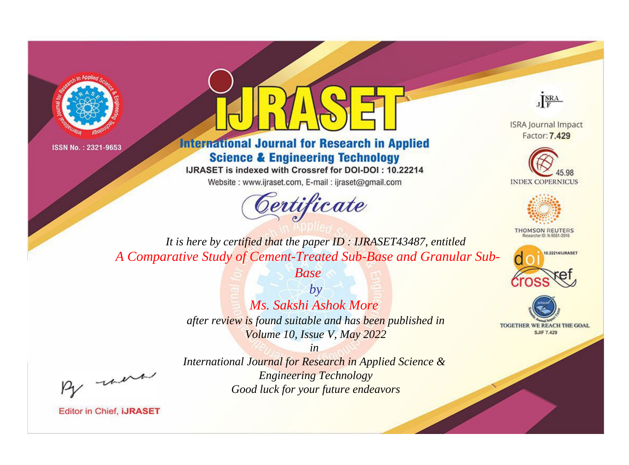



**International Journal for Research in Applied Science & Engineering Technology** 

IJRASET is indexed with Crossref for DOI-DOI: 10.22214

Website: www.ijraset.com, E-mail: ijraset@gmail.com





**ISRA Journal Impact** Factor: 7.429





**THOMSON REUTERS** 



TOGETHER WE REACH THE GOAL **SJIF 7.429** 

*It is here by certified that the paper ID : IJRASET43487, entitled A Comparative Study of Cement-Treated Sub-Base and Granular Sub-*

*Base*

*by Ms. Sakshi Ashok More after review is found suitable and has been published in Volume 10, Issue V, May 2022*

, un

*International Journal for Research in Applied Science & Engineering Technology Good luck for your future endeavors*

*in*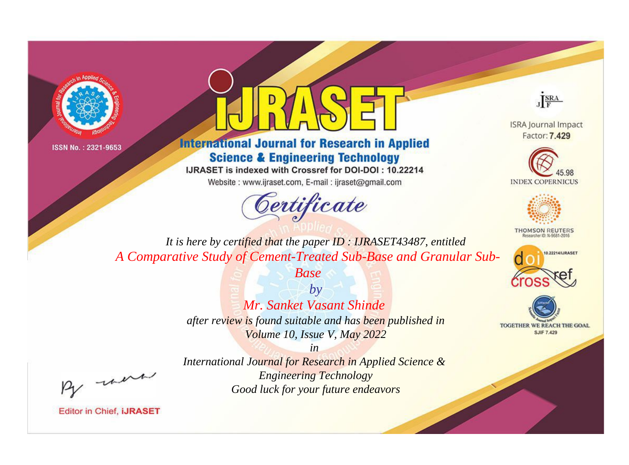



**International Journal for Research in Applied Science & Engineering Technology** 

IJRASET is indexed with Crossref for DOI-DOI: 10.22214

Website: www.ijraset.com, E-mail: ijraset@gmail.com





**ISRA Journal Impact** Factor: 7.429





**THOMSON REUTERS** 



TOGETHER WE REACH THE GOAL **SJIF 7.429** 

*It is here by certified that the paper ID : IJRASET43487, entitled A Comparative Study of Cement-Treated Sub-Base and Granular Sub-*

*Base*

*by Mr. Sanket Vasant Shinde after review is found suitable and has been published in Volume 10, Issue V, May 2022*

, un

*International Journal for Research in Applied Science & Engineering Technology Good luck for your future endeavors*

*in*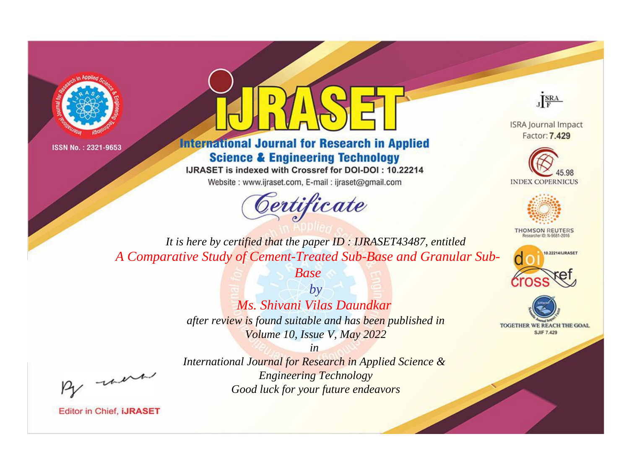



**International Journal for Research in Applied Science & Engineering Technology** 

IJRASET is indexed with Crossref for DOI-DOI: 10.22214

Website: www.ijraset.com, E-mail: ijraset@gmail.com





**ISRA Journal Impact** Factor: 7.429





**THOMSON REUTERS** 



TOGETHER WE REACH THE GOAL **SJIF 7.429** 

*It is here by certified that the paper ID : IJRASET43487, entitled A Comparative Study of Cement-Treated Sub-Base and Granular Sub-*

*Base*

*by Ms. Shivani Vilas Daundkar after review is found suitable and has been published in Volume 10, Issue V, May 2022*

, were

*International Journal for Research in Applied Science & Engineering Technology Good luck for your future endeavors*

*in*